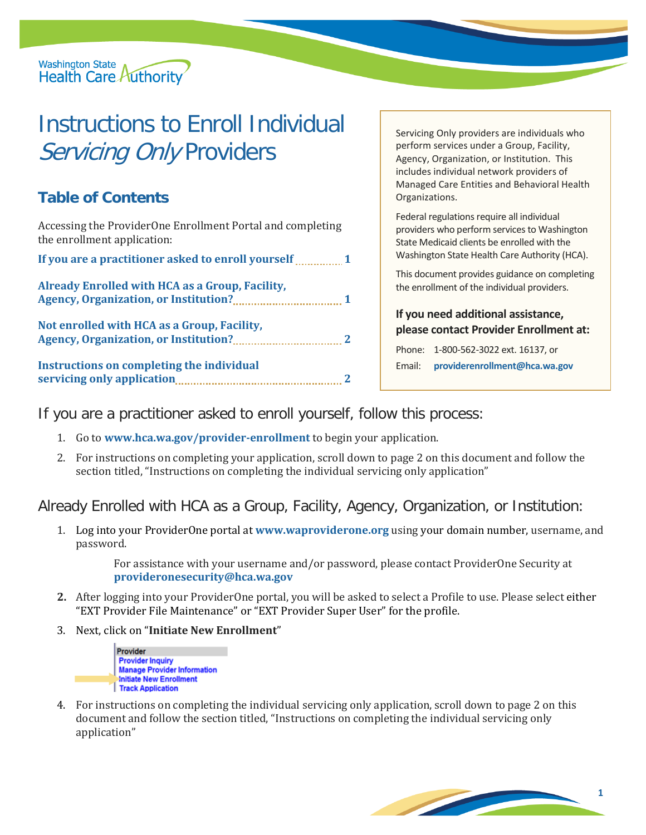

# Instructions to Enroll Individual Servicing Only Providers

## **Table of Contents**

Accessing the ProviderOne Enrollment Portal and completing the enrollment application:

| Already Enrolled with HCA as a Group, Facility, |    |
|-------------------------------------------------|----|
|                                                 | -1 |
| Not enrolled with HCA as a Group, Facility,     |    |
|                                                 |    |
| Instructions on completing the individual       |    |
|                                                 |    |

Servicing Only providers are individuals who perform services under a Group, Facility, Agency, Organization, or Institution. This includes individual network providers of Managed Care Entities and Behavioral Health Organizations.

Federal regulations require all individual providers who perform services to Washington State Medicaid clients be enrolled with the Washington State Health Care Authority (HCA).

This document provides guidance on completing the enrollment of the individual providers.

**If you need additional assistance, please contact Provider Enrollment at:** 

Phone: 1-800-562-3022 ext. 16137, or Email: **providerenrollment@hca.wa.gov**

If you are a practitioner asked to enroll yourself, follow this process:

- 1. Go to **www.hca.wa.gov/provider-enrollment** to begin your application.
- 2. For instructions on completing your application, scroll down to page 2 on this document and follow the section titled, "Instructions on completing the individual servicing only application"

Already Enrolled with HCA as a Group, Facility, Agency, Organization, or Institution:

1. Log into your ProviderOne portal at **[www.waproviderone.org](http://www.waproviderone.org/)** using your domain number, username, and password.

For assistance with your username and/or password, please contact ProviderOne Security at **[provideronesecurity@hca.wa.gov](mailto:provideronesecurity@hca.wa.gov)**

- **2.** After logging into your ProviderOne portal, you will be asked to select a Profile to use. Please select either "EXT Provider File Maintenance" or "EXT Provider Super User" for the profile.
- 3. Next, click on "**Initiate New Enrollment**"



4. For instructions on completing the individual servicing only application, scroll down to page 2 on this document and follow the section titled, "Instructions on completing the individual servicing only application"

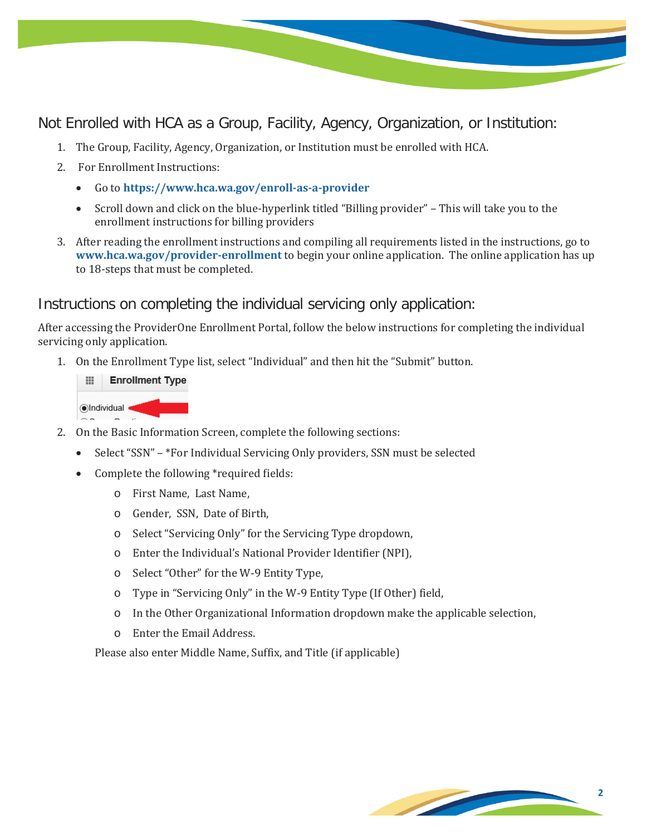Not Enrolled with HCA as a Group, Facility, Agency, Organization, or Institution:

- 1. The Group, Facility, Agency, Organization, or Institution must be enrolled with HCA.
- 2. For Enrollment Instructions:
	- Go to **https://www.hca.wa.gov/enroll-as-a-provider**
	- Scroll down and click on the blue-hyperlink titled "Billing provider" This will take you to the enrollment instructions for billing providers
- 3. After reading the enrollment instructions and compiling all requirements listed in the instructions, go to **www.hca.wa.gov/provider-enrollment** to begin your online application. The online application has up to 18-steps that must be completed.

## Instructions on completing the individual servicing only application:

After accessing the ProviderOne Enrollment Portal, follow the below instructions for completing the individual servicing only application.

1. On the Enrollment Type list, select "Individual" and then hit the "Submit" button.



- 2. On the Basic Information Screen, complete the following sections:
	- Select "SSN" \*For Individual Servicing Only providers, SSN must be selected
	- Complete the following \*required fields:
		- o First Name, Last Name,
		- o Gender, SSN, Date of Birth,
		- o Select "Servicing Only" for the Servicing Type dropdown,
		- o Enter the Individual's National Provider Identifier (NPI),
		- o Select "Other" for the W-9 Entity Type,
		- o Type in "Servicing Only" in the W-9 Entity Type (If Other) field,
		- o In the Other Organizational Information dropdown make the applicable selection,
		- o Enter the Email Address.

Please also enter Middle Name, Suffix, and Title (if applicable)

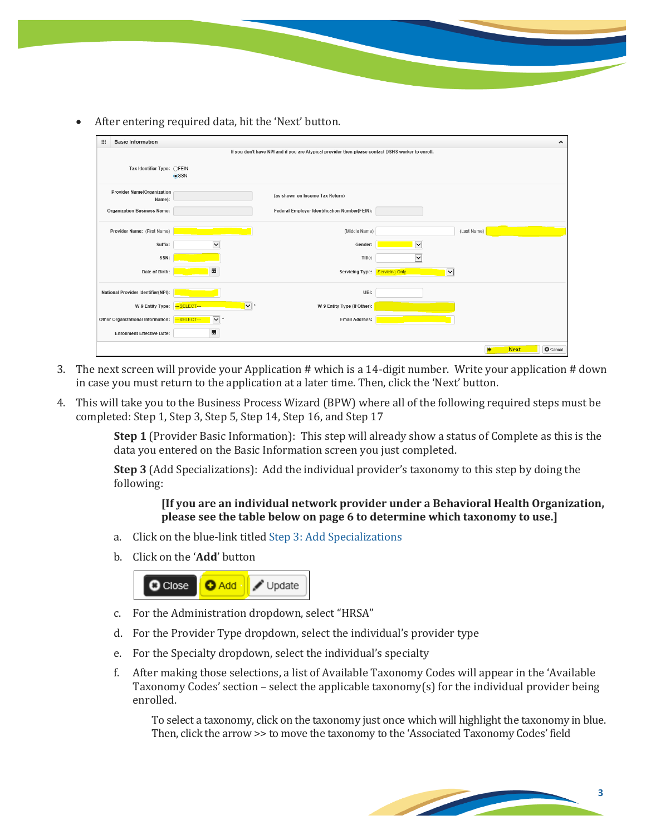• After entering required data, hit the 'Next' button.

| <b>Basic Information</b><br>田               |                                       |                             |                                                                                                   |                                                  |             |             | $\triangle$     |
|---------------------------------------------|---------------------------------------|-----------------------------|---------------------------------------------------------------------------------------------------|--------------------------------------------------|-------------|-------------|-----------------|
|                                             |                                       |                             | If you don't have NPI and if you are Atypical provider then please contact DSHS worker to enroll. |                                                  |             |             |                 |
| Tax Identifier Type: ◯FEIN                  | <b>OSSN</b>                           |                             |                                                                                                   |                                                  |             |             |                 |
| <b>Provider Name(Organization</b><br>Name): |                                       |                             | (as shown on Income Tax Return)                                                                   |                                                  |             |             |                 |
| <b>Organization Business Name:</b>          |                                       |                             | Federal Employer Identification Number(FEIN):                                                     |                                                  |             |             |                 |
| Provider Name: (First Name)                 |                                       |                             | (Middle Name)                                                                                     |                                                  | (Last Name) |             |                 |
| Suffix:                                     | $\overline{\mathbf{v}}$               |                             | Gender:                                                                                           | $\overline{\mathbf{v}}$                          |             |             |                 |
| SSN:                                        |                                       |                             | Title:                                                                                            | $\checkmark$                                     |             |             |                 |
| Date of Birth:                              | 筁                                     |                             | Servicing Type:                                                                                   | $\overline{\mathsf{v}}$<br><b>Servicing Only</b> |             |             |                 |
| National Provider Identifier(NPI):          |                                       |                             | UBI:                                                                                              |                                                  |             |             |                 |
| W-9 Entity Type: -SELECT-                   |                                       | $\overline{ \mathbf{v} }$ . | W-9 Entity Type (If Other):                                                                       |                                                  |             |             |                 |
| Other Organizational Information:           | $\overline{\mathsf{v}}$ :<br>-SELECT- |                             | <b>Email Address:</b>                                                                             |                                                  |             |             |                 |
| <b>Enrollment Effective Date:</b>           | 首                                     |                             |                                                                                                   |                                                  |             |             |                 |
|                                             |                                       |                             |                                                                                                   |                                                  | ш           | <b>Next</b> | <b>O</b> Cancel |

- 3. The next screen will provide your Application # which is a 14-digit number. Write your application # down in case you must return to the application at a later time. Then, click the 'Next' button.
- 4. This will take you to the Business Process Wizard (BPW) where all of the following required steps must be completed: Step 1, Step 3, Step 5, Step 14, Step 16, and Step 17

**Step 1** (Provider Basic Information): This step will already show a status of Complete as this is the data you entered on the Basic Information screen you just completed.

**Step 3** (Add Specializations): Add the individual provider's taxonomy to this step by doing the following:

## **[If you are an individual network provider under a Behavioral Health Organization, please see the table below on page 6 to determine which taxonomy to use.]**

- a. Click on the blue-link titled Step 3: Add Specializations
- b. Click on the '**Add**' button



- c. For the Administration dropdown, select "HRSA"
- d. For the Provider Type dropdown, select the individual's provider type
- e. For the Specialty dropdown, select the individual's specialty
- f. After making those selections, a list of Available Taxonomy Codes will appear in the 'Available Taxonomy Codes' section – select the applicable taxonomy(s) for the individual provider being enrolled.

To select a taxonomy, click on the taxonomy just once which will highlight the taxonomy in blue. Then, click the arrow >> to move the taxonomy to the 'Associated Taxonomy Codes' field

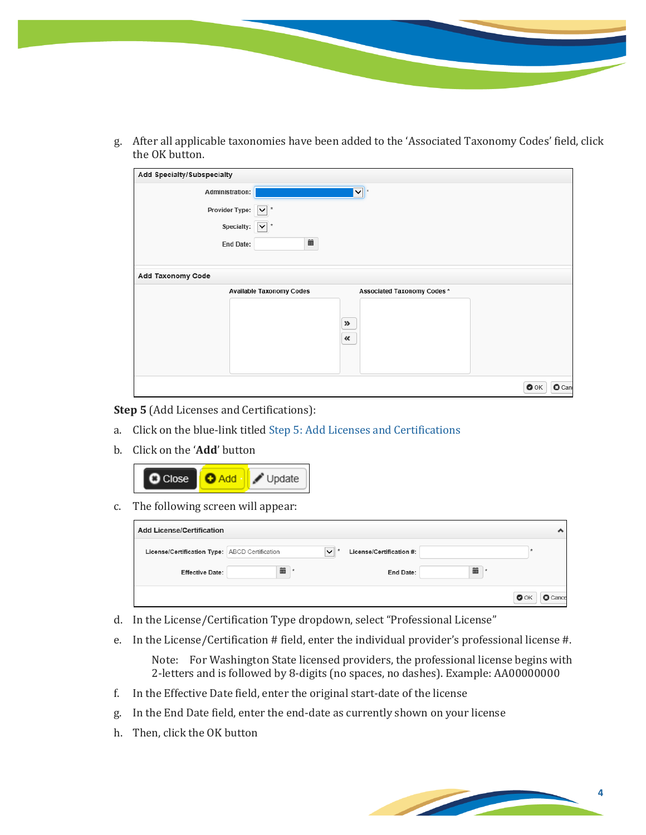- - g. After all applicable taxonomies have been added to the 'Associated Taxonomy Codes' field, click the OK button.

| Add Specialty/Subspecialty |                                                               |
|----------------------------|---------------------------------------------------------------|
| Administration:            | $\overline{\mathbf{v}}$                                       |
| Provider Type:             | $\check{ }$                                                   |
| Specialty:                 |                                                               |
| <b>End Date:</b>           | 藟                                                             |
|                            |                                                               |
| Add Taxonomy Code          |                                                               |
|                            | Associated Taxonomy Codes*<br><b>Available Taxonomy Codes</b> |
|                            |                                                               |
|                            | $\gg$                                                         |
|                            | ≪                                                             |
|                            |                                                               |
|                            |                                                               |
|                            | $\bullet$ ok<br>$Q$ Can                                       |

**Step 5** (Add Licenses and Certifications):

- a. Click on the blue-link titled Step 5: Add Licenses and Certifications
- b. Click on the '**Add**' button



c. The following screen will appear:

| <b>Add License/Certification</b>               |              |                          |                |
|------------------------------------------------|--------------|--------------------------|----------------|
| License/Certification Type: ABCD Certification |              | License/Certification #: |                |
| <b>Effective Date:</b>                         | 盖<br>$\star$ | End Date:                | 萹              |
|                                                |              |                          | <b>O</b> Cance |

- d. In the License/Certification Type dropdown, select "Professional License"
- e. In the License/Certification # field, enter the individual provider's professional license #.

Note: For Washington State licensed providers, the professional license begins with 2-letters and is followed by 8-digits (no spaces, no dashes). Example: AA00000000

- f. In the Effective Date field, enter the original start-date of the license
- g. In the End Date field, enter the end-date as currently shown on your license
- h. Then, click the OK button

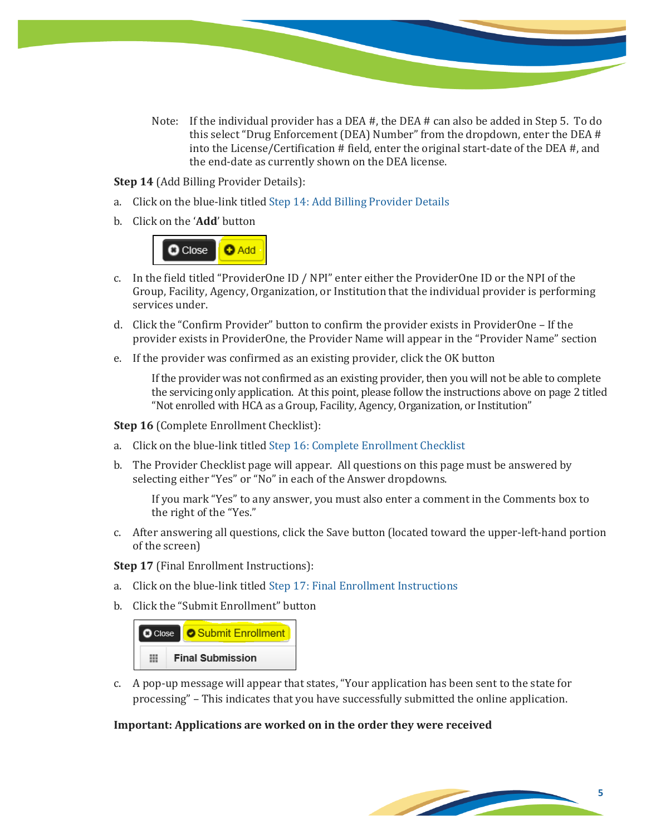Note: If the individual provider has a DEA #, the DEA # can also be added in Step 5. To do this select "Drug Enforcement (DEA) Number" from the dropdown, enter the DEA # into the License/Certification # field, enter the original start-date of the DEA #, and the end-date as currently shown on the DEA license.

### **Step 14** (Add Billing Provider Details):

- a. Click on the blue-link titled Step 14: Add Billing Provider Details
- b. Click on the '**Add**' button



- c. In the field titled "ProviderOne ID / NPI" enter either the ProviderOne ID or the NPI of the Group, Facility, Agency, Organization, or Institution that the individual provider is performing services under.
- d. Click the "Confirm Provider" button to confirm the provider exists in ProviderOne If the provider exists in ProviderOne, the Provider Name will appear in the "Provider Name" section
- e. If the provider was confirmed as an existing provider, click the OK button

If the provider was not confirmed as an existing provider, then you will not be able to complete the servicing only application. At this point, please follow the instructions above on page 2 titled "Not enrolled with HCA as a Group, Facility, Agency, Organization, or Institution"

**Step 16** (Complete Enrollment Checklist):

- a. Click on the blue-link titled Step 16: Complete Enrollment Checklist
- b. The Provider Checklist page will appear. All questions on this page must be answered by selecting either "Yes" or "No" in each of the Answer dropdowns.

If you mark "Yes" to any answer, you must also enter a comment in the Comments box to the right of the "Yes."

c. After answering all questions, click the Save button (located toward the upper-left-hand portion of the screen)

**Step 17** (Final Enrollment Instructions):

- a. Click on the blue-link titled Step 17: Final Enrollment Instructions
- b. Click the "Submit Enrollment" button



c. A pop-up message will appear that states, "Your application has been sent to the state for processing" – This indicates that you have successfully submitted the online application.

#### **Important: Applications are worked on in the order they were received**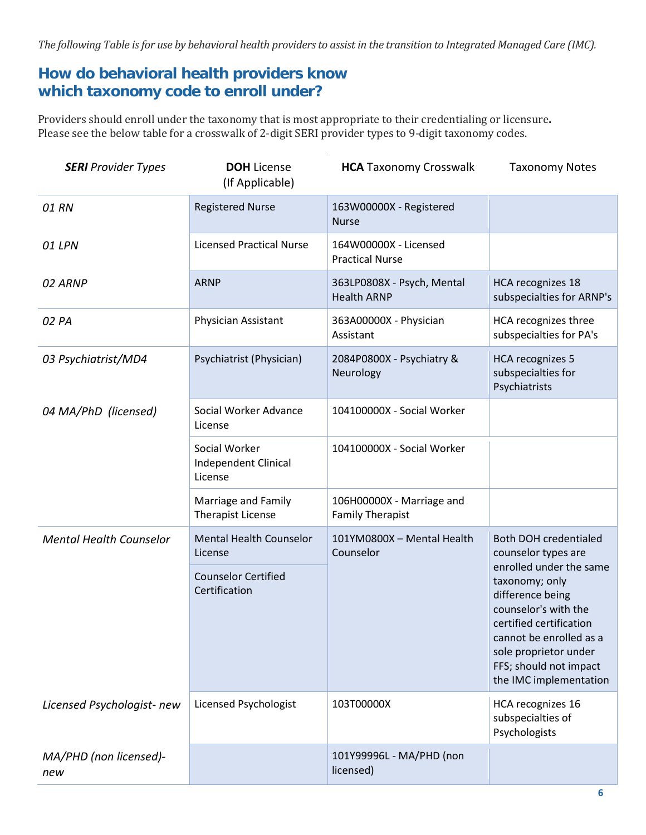*The following Table is for use by behavioral health providers to assist in the transition to Integrated Managed Care (IMC).*

# **How do behavioral health providers know which taxonomy code to enroll under?**

Providers should enroll under the taxonomy that is most appropriate to their credentialing or licensure**.**  Please see the below table for a crosswalk of 2-digit SERI provider types to 9-digit taxonomy codes.

| <b>SERI</b> Provider Types     | <b>DOH</b> License<br>(If Applicable)                   | <b>HCA</b> Taxonomy Crosswalk                        | <b>Taxonomy Notes</b>                                                                                                                                                                         |
|--------------------------------|---------------------------------------------------------|------------------------------------------------------|-----------------------------------------------------------------------------------------------------------------------------------------------------------------------------------------------|
| 01 RN                          | <b>Registered Nurse</b>                                 | 163W00000X - Registered<br><b>Nurse</b>              |                                                                                                                                                                                               |
| 01 LPN                         | <b>Licensed Practical Nurse</b>                         | 164W00000X - Licensed<br><b>Practical Nurse</b>      |                                                                                                                                                                                               |
| 02 ARNP                        | <b>ARNP</b>                                             | 363LP0808X - Psych, Mental<br><b>Health ARNP</b>     | <b>HCA recognizes 18</b><br>subspecialties for ARNP's                                                                                                                                         |
| 02 PA                          | Physician Assistant                                     | 363A00000X - Physician<br>Assistant                  | HCA recognizes three<br>subspecialties for PA's                                                                                                                                               |
| 03 Psychiatrist/MD4            | Psychiatrist (Physician)                                | 2084P0800X - Psychiatry &<br>Neurology               | <b>HCA recognizes 5</b><br>subspecialties for<br>Psychiatrists                                                                                                                                |
| 04 MA/PhD (licensed)           | Social Worker Advance<br>License                        | 104100000X - Social Worker                           |                                                                                                                                                                                               |
|                                | Social Worker<br><b>Independent Clinical</b><br>License | 104100000X - Social Worker                           |                                                                                                                                                                                               |
|                                | Marriage and Family<br>Therapist License                | 106H00000X - Marriage and<br><b>Family Therapist</b> |                                                                                                                                                                                               |
| <b>Mental Health Counselor</b> | <b>Mental Health Counselor</b><br>License               | 101YM0800X - Mental Health<br>Counselor              | <b>Both DOH credentialed</b><br>counselor types are<br>enrolled under the same                                                                                                                |
|                                | <b>Counselor Certified</b><br>Certification             |                                                      | taxonomy; only<br>difference being<br>counselor's with the<br>certified certification<br>cannot be enrolled as a<br>sole proprietor under<br>FFS; should not impact<br>the IMC implementation |
| Licensed Psychologist-new      | Licensed Psychologist                                   | 103T00000X                                           | HCA recognizes 16<br>subspecialties of<br>Psychologists                                                                                                                                       |
| MA/PHD (non licensed)-<br>new  |                                                         | 101Y99996L - MA/PHD (non<br>licensed)                |                                                                                                                                                                                               |